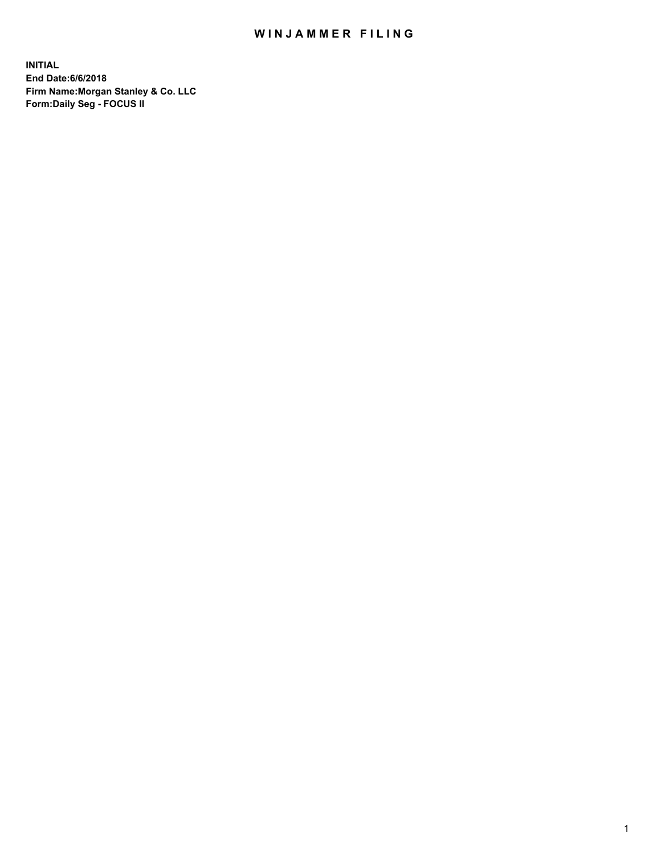### WIN JAMMER FILING

**INITIAL End Date:6/6/2018 Firm Name:Morgan Stanley & Co. LLC Form:Daily Seg - FOCUS II**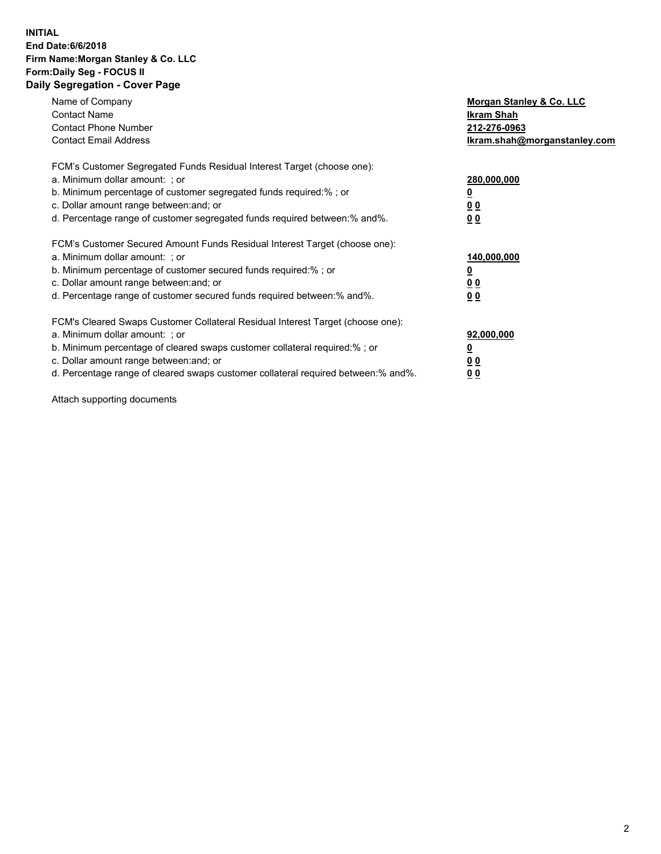#### **INITIAL End Date:6/6/2018 Firm Name:Morgan Stanley & Co. LLC Form:Daily Seg - FOCUS II Daily Segregation - Cover Page**

| Name of Company                                                                   | Morgan Stanley & Co. LLC     |
|-----------------------------------------------------------------------------------|------------------------------|
| <b>Contact Name</b>                                                               | Ikram Shah                   |
| <b>Contact Phone Number</b>                                                       | 212-276-0963                 |
| <b>Contact Email Address</b>                                                      | Ikram.shah@morganstanley.com |
| FCM's Customer Segregated Funds Residual Interest Target (choose one):            |                              |
| a. Minimum dollar amount: : or                                                    | 280,000,000                  |
| b. Minimum percentage of customer segregated funds required:%; or                 |                              |
| c. Dollar amount range between: and; or                                           | 0 <sub>0</sub>               |
| d. Percentage range of customer segregated funds required between: % and %.       | 00                           |
| FCM's Customer Secured Amount Funds Residual Interest Target (choose one):        |                              |
| a. Minimum dollar amount: ; or                                                    | 140,000,000                  |
| b. Minimum percentage of customer secured funds required:% ; or                   |                              |
| c. Dollar amount range between: and; or                                           | 0 <sub>0</sub>               |
| d. Percentage range of customer secured funds required between: % and %.          | <u>00</u>                    |
| FCM's Cleared Swaps Customer Collateral Residual Interest Target (choose one):    |                              |
| a. Minimum dollar amount: ; or                                                    | 92,000,000                   |
| b. Minimum percentage of cleared swaps customer collateral required:%; or         | <u>0</u>                     |
| c. Dollar amount range between: and; or                                           | <u>0 0</u>                   |
| d. Percentage range of cleared swaps customer collateral required between:% and%. | <u>00</u>                    |

Attach supporting documents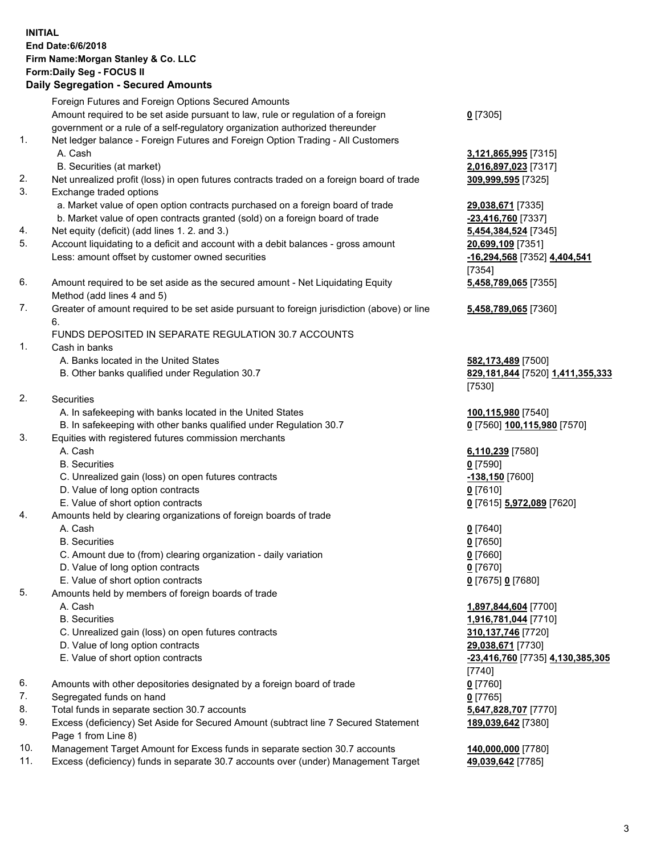# **INITIAL End Date:6/6/2018 Firm Name:Morgan Stanley & Co. LLC Form:Daily Seg - FOCUS II**

#### **Daily Segregation - Secured Amounts**

|     | Foreign Futures and Foreign Options Secured Amounts                                                                  |                                         |
|-----|----------------------------------------------------------------------------------------------------------------------|-----------------------------------------|
|     | Amount required to be set aside pursuant to law, rule or regulation of a foreign                                     | $0$ [7305]                              |
|     | government or a rule of a self-regulatory organization authorized thereunder                                         |                                         |
| 1.  | Net ledger balance - Foreign Futures and Foreign Option Trading - All Customers                                      |                                         |
|     | A. Cash                                                                                                              | 3,121,865,995 [7315]                    |
| 2.  | B. Securities (at market)                                                                                            | 2,016,897,023 [7317]                    |
| 3.  | Net unrealized profit (loss) in open futures contracts traded on a foreign board of trade<br>Exchange traded options | 309,999,595 [7325]                      |
|     | a. Market value of open option contracts purchased on a foreign board of trade                                       |                                         |
|     | b. Market value of open contracts granted (sold) on a foreign board of trade                                         | 29,038,671 [7335]<br>-23,416,760 [7337] |
| 4.  | Net equity (deficit) (add lines 1.2. and 3.)                                                                         | 5,454,384,524 [7345]                    |
| 5.  | Account liquidating to a deficit and account with a debit balances - gross amount                                    | 20,699,109 [7351]                       |
|     | Less: amount offset by customer owned securities                                                                     | -16,294,568 [7352] 4,404,541            |
|     |                                                                                                                      | [7354]                                  |
| 6.  | Amount required to be set aside as the secured amount - Net Liquidating Equity                                       | 5,458,789,065 [7355]                    |
|     | Method (add lines 4 and 5)                                                                                           |                                         |
| 7.  | Greater of amount required to be set aside pursuant to foreign jurisdiction (above) or line                          | 5,458,789,065 [7360]                    |
|     | 6.                                                                                                                   |                                         |
|     | FUNDS DEPOSITED IN SEPARATE REGULATION 30.7 ACCOUNTS                                                                 |                                         |
| 1.  | Cash in banks                                                                                                        |                                         |
|     | A. Banks located in the United States                                                                                | 582,173,489 [7500]                      |
|     | B. Other banks qualified under Regulation 30.7                                                                       | 829,181,844 [7520] 1,411,355,333        |
|     |                                                                                                                      | [7530]                                  |
| 2.  | Securities                                                                                                           |                                         |
|     | A. In safekeeping with banks located in the United States                                                            | 100,115,980 [7540]                      |
|     | B. In safekeeping with other banks qualified under Regulation 30.7                                                   | 0 [7560] 100,115,980 [7570]             |
| 3.  | Equities with registered futures commission merchants                                                                |                                         |
|     | A. Cash                                                                                                              | 6,110,239 [7580]                        |
|     | <b>B.</b> Securities                                                                                                 | $0$ [7590]                              |
|     | C. Unrealized gain (loss) on open futures contracts                                                                  | <u>-138,150</u> [7600]                  |
|     | D. Value of long option contracts                                                                                    | $0$ [7610]                              |
|     | E. Value of short option contracts                                                                                   | 0 [7615] 5,972,089 [7620]               |
| 4.  | Amounts held by clearing organizations of foreign boards of trade                                                    |                                         |
|     | A. Cash<br><b>B.</b> Securities                                                                                      | $0$ [7640]                              |
|     | C. Amount due to (from) clearing organization - daily variation                                                      | $0$ [7650]<br>$0$ [7660]                |
|     | D. Value of long option contracts                                                                                    | $0$ [7670]                              |
|     | E. Value of short option contracts                                                                                   | 0 [7675] 0 [7680]                       |
| 5.  | Amounts held by members of foreign boards of trade                                                                   |                                         |
|     | A. Cash                                                                                                              | 1,897,844,604 [7700]                    |
|     | <b>B.</b> Securities                                                                                                 | 1,916,781,044 [7710]                    |
|     | C. Unrealized gain (loss) on open futures contracts                                                                  | 310,137,746 [7720]                      |
|     | D. Value of long option contracts                                                                                    | 29,038,671 [7730]                       |
|     | E. Value of short option contracts                                                                                   | -23,416,760 [7735] 4,130,385,305        |
|     |                                                                                                                      | [7740]                                  |
| 6.  | Amounts with other depositories designated by a foreign board of trade                                               | $0$ [7760]                              |
| 7.  | Segregated funds on hand                                                                                             | $0$ [7765]                              |
| 8.  | Total funds in separate section 30.7 accounts                                                                        | 5,647,828,707 [7770]                    |
| 9.  | Excess (deficiency) Set Aside for Secured Amount (subtract line 7 Secured Statement<br>Page 1 from Line 8)           | 189,039,642 [7380]                      |
| 10. | Management Target Amount for Excess funds in separate section 30.7 accounts                                          | 140,000,000 [7780]                      |
| 11. | Excess (deficiency) funds in separate 30.7 accounts over (under) Management Target                                   | 49,039,642 [7785]                       |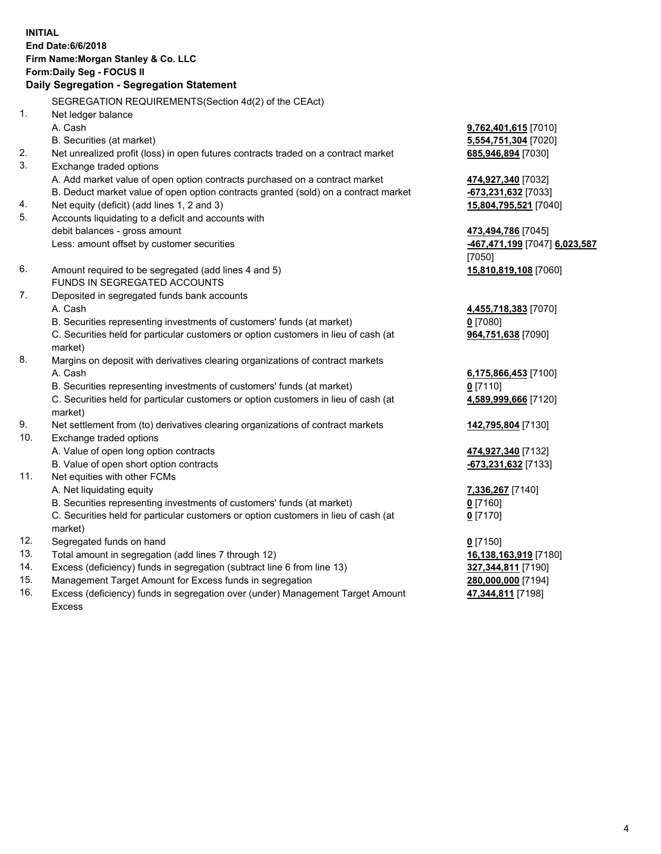# **INITIAL End Date:6/6/2018 Firm Name:Morgan Stanley & Co. LLC Form:Daily Seg - FOCUS II**

# **Daily Segregation - Segregation Statement**

SEGREGATION REQUIREMENTS(Section 4d(2) of the CEAct) 1. Net ledger balance A. Cash **9,762,401,615** [7010] B. Securities (at market) **5,554,751,304** [7020] 2. Net unrealized profit (loss) in open futures contracts traded on a contract market **685,946,894** [7030] 3. Exchange traded options A. Add market value of open option contracts purchased on a contract market **474,927,340** [7032] B. Deduct market value of open option contracts granted (sold) on a contract market **-673,231,632** [7033] 4. Net equity (deficit) (add lines 1, 2 and 3) **15,804,795,521** [7040] 5. Accounts liquidating to a deficit and accounts with debit balances - gross amount **473,494,786** [7045] Less: amount offset by customer securities **-467,471,199** [7047] **6,023,587** [7050] 6. Amount required to be segregated (add lines 4 and 5) **15,810,819,108** [7060] FUNDS IN SEGREGATED ACCOUNTS 7. Deposited in segregated funds bank accounts A. Cash **4,455,718,383** [7070] B. Securities representing investments of customers' funds (at market) **0** [7080] C. Securities held for particular customers or option customers in lieu of cash (at market) 8. Margins on deposit with derivatives clearing organizations of contract markets A. Cash **6,175,866,453** [7100] B. Securities representing investments of customers' funds (at market) **0** [7110] C. Securities held for particular customers or option customers in lieu of cash (at market) 9. Net settlement from (to) derivatives clearing organizations of contract markets **142,795,804** [7130] 10. Exchange traded options A. Value of open long option contracts **474,927,340** [7132] B. Value of open short option contracts **-673,231,632** [7133] 11. Net equities with other FCMs A. Net liquidating equity **7,336,267** [7140] B. Securities representing investments of customers' funds (at market) **0** [7160] C. Securities held for particular customers or option customers in lieu of cash (at market) **0** [7170] 12. Segregated funds on hand **0** [7150] 13. Total amount in segregation (add lines 7 through 12) **16,138,163,919** [7180] 14. Excess (deficiency) funds in segregation (subtract line 6 from line 13) **327,344,811** [7190] 15. Management Target Amount for Excess funds in segregation **280,000,000** [7194]

16. Excess (deficiency) funds in segregation over (under) Management Target Amount Excess

**964,751,638** [7090]

**4,589,999,666** [7120]

**47,344,811** [7198]